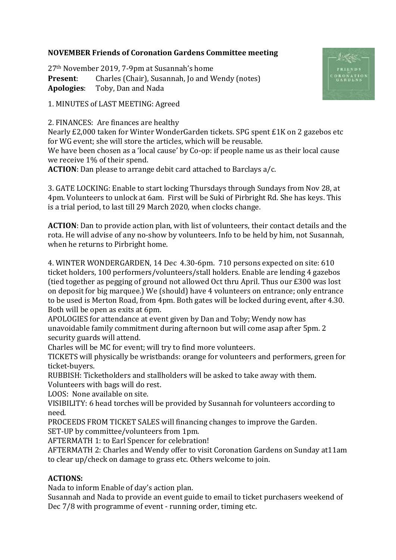## **NOVEMBER Friends of Coronation Gardens Committee meeting**

27th November 2019, 7-9pm at Susannah's home **Present:** Charles (Chair), Susannah, Jo and Wendy (notes) **Apologies**: Toby, Dan and Nada

1. MINUTES of LAST MEETING: Agreed

2. FINANCES: Are finances are healthy

Nearly £2,000 taken for Winter WonderGarden tickets. SPG spent £1K on 2 gazebos etc for WG event; she will store the articles, which will be reusable.

We have been chosen as a 'local cause' by Co-op: if people name us as their local cause we receive 1% of their spend.

**ACTION**: Dan please to arrange debit card attached to Barclays a/c.

3. GATE LOCKING: Enable to start locking Thursdays through Sundays from Nov 28, at 4pm. Volunteers to unlock at 6am. First will be Suki of Pirbright Rd. She has keys. This is a trial period, to last till 29 March 2020, when clocks change.

**ACTION**: Dan to provide action plan, with list of volunteers, their contact details and the rota. He will advise of any no-show by volunteers. Info to be held by him, not Susannah, when he returns to Pirbright home.

4. WINTER WONDERGARDEN, 14 Dec 4.30-6pm. 710 persons expected on site: 610 ticket holders, 100 performers/volunteers/stall holders. Enable are lending 4 gazebos (tied together as pegging of ground not allowed Oct thru April. Thus our £300 was lost on deposit for big marquee.) We (should) have 4 volunteers on entrance; only entrance to be used is Merton Road, from 4pm. Both gates will be locked during event, after 4.30. Both will be open as exits at 6pm.

APOLOGIES for attendance at event given by Dan and Toby; Wendy now has unavoidable family commitment during afternoon but will come asap after 5pm. 2 security guards will attend.

Charles will be MC for event; will try to find more volunteers.

TICKETS will physically be wristbands: orange for volunteers and performers, green for ticket-buyers.

RUBBISH: Ticketholders and stallholders will be asked to take away with them.

Volunteers with bags will do rest.

LOOS: None available on site.

VISIBILITY: 6 head torches will be provided by Susannah for volunteers according to need.

PROCEEDS FROM TICKET SALES will financing changes to improve the Garden.

SET-UP by committee/volunteers from 1pm.

AFTERMATH 1: to Earl Spencer for celebration!

AFTERMATH 2: Charles and Wendy offer to visit Coronation Gardens on Sunday at11am to clear up/check on damage to grass etc. Others welcome to join.

## **ACTIONS:**

Nada to inform Enable of day's action plan.

Susannah and Nada to provide an event guide to email to ticket purchasers weekend of Dec 7/8 with programme of event - running order, timing etc.